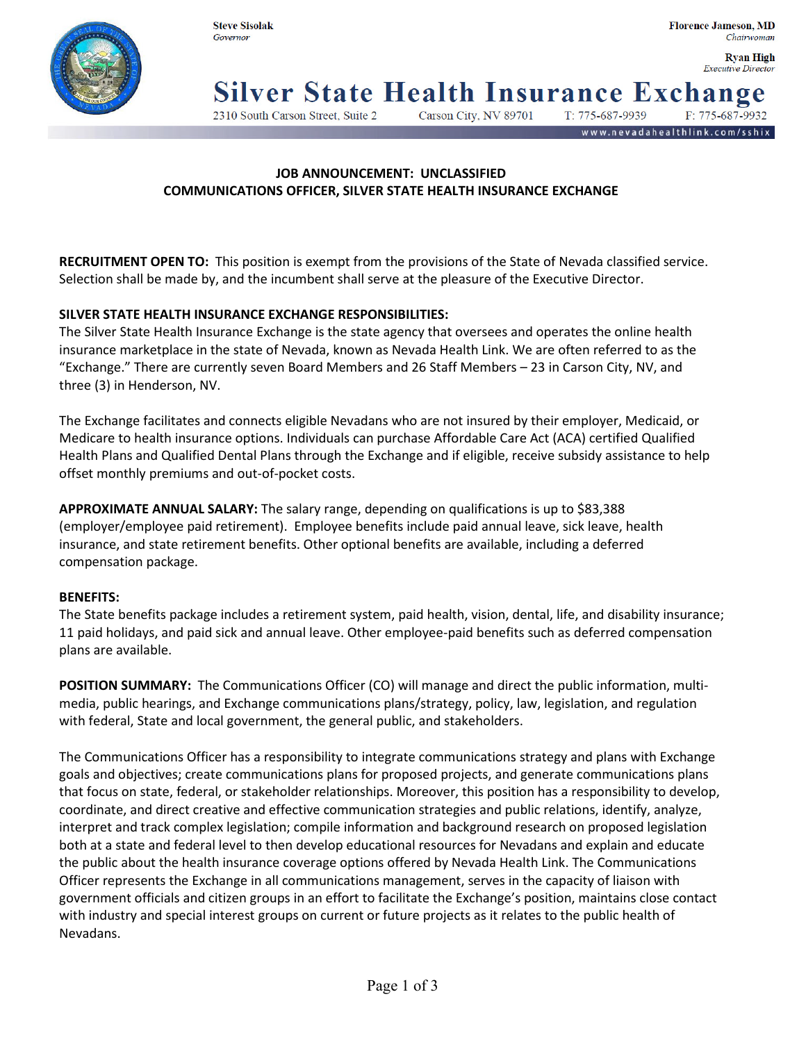

**Rvan High Executive Director** 

noe

**Silver State Health Insurance Exchangely** 

2310 South Carson Street, Suite 2

T: 775-687-9939 Carson City, NV 89701

www.nevadahealthlink.com/sshix

## **JOB ANNOUNCEMENT: UNCLASSIFIED COMMUNICATIONS OFFICER, SILVER STATE HEALTH INSURANCE EXCHANGE**

**RECRUITMENT OPEN TO:** This position is exempt from the provisions of the State of Nevada classified service. Selection shall be made by, and the incumbent shall serve at the pleasure of the Executive Director.

# **SILVER STATE HEALTH INSURANCE EXCHANGE RESPONSIBILITIES:**

The Silver State Health Insurance Exchange is the state agency that oversees and operates the online health insurance marketplace in the state of Nevada, known as Nevada Health Link. We are often referred to as the "Exchange." There are currently seven Board Members and 26 Staff Members – 23 in Carson City, NV, and three (3) in Henderson, NV.

The Exchange facilitates and connects eligible Nevadans who are not insured by their employer, Medicaid, or Medicare to health insurance options. Individuals can purchase Affordable Care Act (ACA) certified Qualified Health Plans and Qualified Dental Plans through the Exchange and if eligible, receive subsidy assistance to help offset monthly premiums and out-of-pocket costs.

**APPROXIMATE ANNUAL SALARY:** The salary range, depending on qualifications is up to \$83,388 (employer/employee paid retirement). Employee benefits include paid annual leave, sick leave, health insurance, and state retirement benefits. Other optional benefits are available, including a deferred compensation package.

### **BENEFITS:**

The State benefits package includes a retirement system, paid health, vision, dental, life, and disability insurance; 11 paid holidays, and paid sick and annual leave. Other employee-paid benefits such as deferred compensation plans are available.

**POSITION SUMMARY:** The Communications Officer (CO) will manage and direct the public information, multimedia, public hearings, and Exchange communications plans/strategy, policy, law, legislation, and regulation with federal, State and local government, the general public, and stakeholders.

The Communications Officer has a responsibility to integrate communications strategy and plans with Exchange goals and objectives; create communications plans for proposed projects, and generate communications plans that focus on state, federal, or stakeholder relationships. Moreover, this position has a responsibility to develop, coordinate, and direct creative and effective communication strategies and public relations, identify, analyze, interpret and track complex legislation; compile information and background research on proposed legislation both at a state and federal level to then develop educational resources for Nevadans and explain and educate the public about the health insurance coverage options offered by Nevada Health Link. The Communications Officer represents the Exchange in all communications management, serves in the capacity of liaison with government officials and citizen groups in an effort to facilitate the Exchange's position, maintains close contact with industry and special interest groups on current or future projects as it relates to the public health of Nevadans.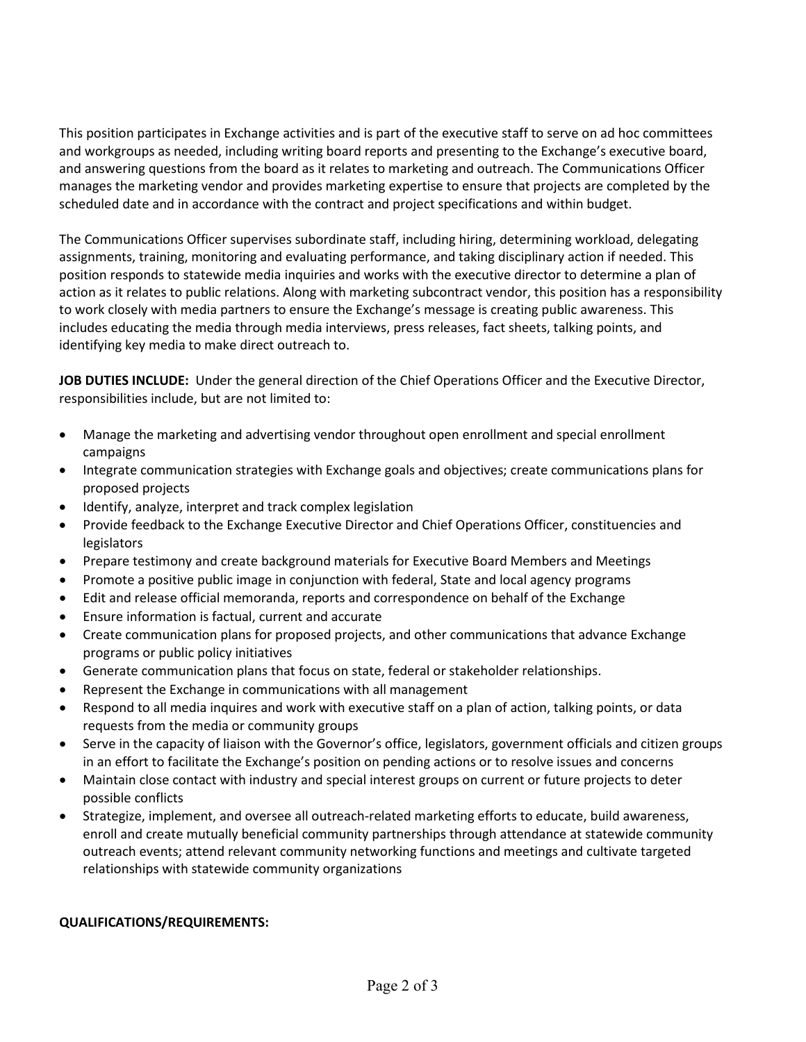This position participates in Exchange activities and is part of the executive staff to serve on ad hoc committees and workgroups as needed, including writing board reports and presenting to the Exchange's executive board, and answering questions from the board as it relates to marketing and outreach. The Communications Officer manages the marketing vendor and provides marketing expertise to ensure that projects are completed by the scheduled date and in accordance with the contract and project specifications and within budget.

The Communications Officer supervises subordinate staff, including hiring, determining workload, delegating assignments, training, monitoring and evaluating performance, and taking disciplinary action if needed. This position responds to statewide media inquiries and works with the executive director to determine a plan of action as it relates to public relations. Along with marketing subcontract vendor, this position has a responsibility to work closely with media partners to ensure the Exchange's message is creating public awareness. This includes educating the media through media interviews, press releases, fact sheets, talking points, and identifying key media to make direct outreach to.

**JOB DUTIES INCLUDE:** Under the general direction of the Chief Operations Officer and the Executive Director, responsibilities include, but are not limited to:

- Manage the marketing and advertising vendor throughout open enrollment and special enrollment campaigns
- Integrate communication strategies with Exchange goals and objectives; create communications plans for proposed projects
- Identify, analyze, interpret and track complex legislation
- Provide feedback to the Exchange Executive Director and Chief Operations Officer, constituencies and legislators
- Prepare testimony and create background materials for Executive Board Members and Meetings
- Promote a positive public image in conjunction with federal, State and local agency programs
- Edit and release official memoranda, reports and correspondence on behalf of the Exchange
- Ensure information is factual, current and accurate
- Create communication plans for proposed projects, and other communications that advance Exchange programs or public policy initiatives
- Generate communication plans that focus on state, federal or stakeholder relationships.
- Represent the Exchange in communications with all management
- Respond to all media inquires and work with executive staff on a plan of action, talking points, or data requests from the media or community groups
- Serve in the capacity of liaison with the Governor's office, legislators, government officials and citizen groups in an effort to facilitate the Exchange's position on pending actions or to resolve issues and concerns
- Maintain close contact with industry and special interest groups on current or future projects to deter possible conflicts
- Strategize, implement, and oversee all outreach-related marketing efforts to educate, build awareness, enroll and create mutually beneficial community partnerships through attendance at statewide community outreach events; attend relevant community networking functions and meetings and cultivate targeted relationships with statewide community organizations

### **QUALIFICATIONS/REQUIREMENTS:**